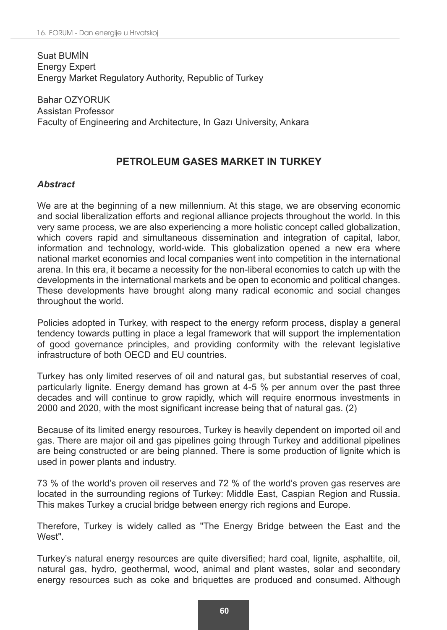Suat BUMİN Energy Expert Energy Market Regulatory Authority, Republic of Turkey

Bahar OZYORUK Assistan Professor Faculty of Engineering and Architecture, In Gazı University, Ankara

# **PETROLEUM GASES MARKET IN TURKEY**

### *Abstract*

We are at the beginning of a new millennium. At this stage, we are observing economic and social liberalization efforts and regional alliance projects throughout the world. In this very same process, we are also experiencing a more holistic concept called globalization, which covers rapid and simultaneous dissemination and integration of capital, labor, information and technology, world-wide. This globalization opened a new era where national market economies and local companies went into competition in the international arena. In this era, it became a necessity for the non-liberal economies to catch up with the developments in the international markets and be open to economic and political changes. These developments have brought along many radical economic and social changes throughout the world.

Policies adopted in Turkey, with respect to the energy reform process, display a general tendency towards putting in place a legal framework that will support the implementation of good governance principles, and providing conformity with the relevant legislative infrastructure of both OECD and EU countries.

Turkey has only limited reserves of oil and natural gas, but substantial reserves of coal, particularly lignite. Energy demand has grown at 4-5 % per annum over the past three decades and will continue to grow rapidly, which will require enormous investments in 2000 and 2020, with the most significant increase being that of natural gas. (2)

Because of its limited energy resources, Turkey is heavily dependent on imported oil and gas. There are major oil and gas pipelines going through Turkey and additional pipelines are being constructed or are being planned. There is some production of lignite which is used in power plants and industry.

73 % of the world's proven oil reserves and 72 % of the world's proven gas reserves are located in the surrounding regions of Turkey: Middle East, Caspian Region and Russia. This makes Turkey a crucial bridge between energy rich regions and Europe.

Therefore, Turkey is widely called as "The Energy Bridge between the East and the West".

Turkey's natural energy resources are quite diversified; hard coal, lignite, asphaltite, oil, natural gas, hydro, geothermal, wood, animal and plant wastes, solar and secondary energy resources such as coke and briquettes are produced and consumed. Although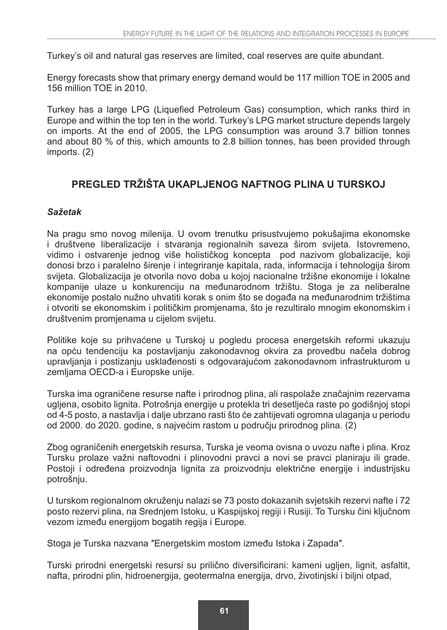Turkey's oil and natural gas reserves are limited, coal reserves are quite abundant.

Energy forecasts show that primary energy demand would be 117 million TOE in 2005 and 156 million TOE in 2010.

Turkey has a large LPG (Liquefied Petroleum Gas) consumption, which ranks third in Europe and within the top ten in the world. Turkey's LPG market structure depends largely on imports. At the end of 2005, the LPG consumption was around 3.7 billion tonnes and about 80 % of this, which amounts to 2.8 billion tonnes, has been provided through imports. (2)

# **PREGLED TRŽIŠTA UKAPLJENOG NAFTNOG PLINA U TURSKOJ**

### *Sažetak*

Na pragu smo novog milenija. U ovom trenutku prisustvujemo pokušajima ekonomske i društvene liberalizacije i stvaranja regionalnih saveza širom svijeta. Istovremeno, vidimo i ostvarenje jednog više holističkog koncepta pod nazivom globalizacije, koji donosi brzo i paralelno širenje i integriranje kapitala, rada, informacija i tehnologija širom svijeta. Globalizacija je otvorila novo doba u kojoj nacionalne tržišne ekonomije i lokalne kompanije ulaze u konkurenciju na međunarodnom tržištu. Stoga je za neliberalne ekonomije postalo nužno uhvatiti korak s onim što se događa na međunarodnim tržištima i otvoriti se ekonomskim i političkim promjenama, što je rezultiralo mnogim ekonomskim i društvenim promjenama u cijelom svijetu.

Politike koje su prihvaćene u Turskoj u pogledu procesa energetskih reformi ukazuju na opću tendenciju ka postavljanju zakonodavnog okvira za provedbu načela dobrog upravljanja i postizanju usklađenosti s odgovarajućom zakonodavnom infrastrukturom u zemljama OECD-a i Europske unije.

Turska ima ograničene resurse nafte i prirodnog plina, ali raspolaže značajnim rezervama ugljena, osobito lignita. Potrošnja energije u protekla tri desetljeća raste po godišnjoj stopi od 4-5 posto, a nastavlja i dalje ubrzano rasti što će zahtijevati ogromna ulaganja u periodu od 2000. do 2020. godine, s najvećim rastom u području prirodnog plina. (2)

Zbog ograničenih energetskih resursa, Turska je veoma ovisna o uvozu nafte i plina. Kroz Tursku prolaze važni naftovodni i plinovodni pravci a novi se pravci planiraju ili grade. Postoji i određena proizvodnja lignita za proizvodnju električne energije i industrijsku potrošnju.

U turskom regionalnom okruženju nalazi se 73 posto dokazanih svjetskih rezervi nafte i 72 posto rezervi plina, na Srednjem Istoku, u Kaspijskoj regiji i Rusiji. To Tursku čini ključnom vezom između energijom bogatih regija i Europe.

Stoga je Turska nazvana ″Energetskim mostom između Istoka i Zapada″.

Turski prirodni energetski resursi su prilično diversificirani: kameni ugljen, lignit, asfaltit, nafta, prirodni plin, hidroenergija, geotermalna energija, drvo, životinjski i biljni otpad,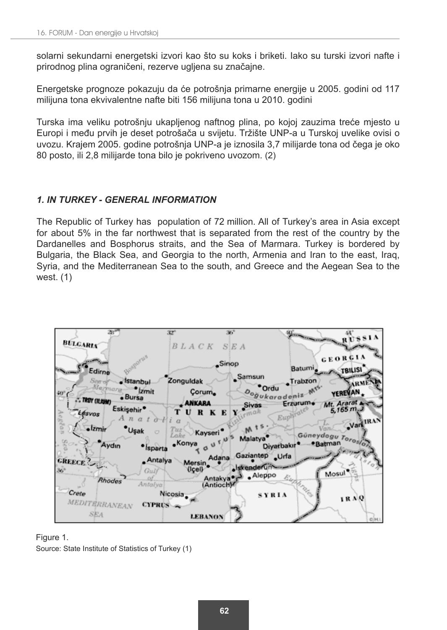solarni sekundarni energetski izvori kao što su koks i briketi. Iako su turski izvori nafte i prirodnog plina ograničeni, rezerve ugljena su značajne.

Energetske prognoze pokazuju da će potrošnja primarne energije u 2005. godini od 117 milijuna tona ekvivalentne nafte biti 156 milijuna tona u 2010. godini

Turska ima veliku potrošnju ukapljenog naftnog plina, po kojoj zauzima treće mjesto u Europi i među prvih je deset potrošača u svijetu. Tržište UNP-a u Turskoj uvelike ovisi o uvozu. Krajem 2005. godine potrošnja UNP-a je iznosila 3,7 milijarde tona od čega je oko 80 posto, ili 2,8 milijarde tona bilo je pokriveno uvozom. (2)

## *1. IN TURKEY - GENERAL INFORMATION*

The Republic of Turkey has population of 72 million. All of Turkey's area in Asia except for about 5% in the far northwest that is separated from the rest of the country by the Dardanelles and Bosphorus straits, and the Sea of Marmara. Turkey is bordered by Bulgaria, the Black Sea, and Georgia to the north, Armenia and Iran to the east, Iraq, Syria, and the Mediterranean Sea to the south, and Greece and the Aegean Sea to the west. (1)

| 28*                                   | 367<br>32"                                           |                                          |                                   |
|---------------------------------------|------------------------------------------------------|------------------------------------------|-----------------------------------|
| <b>BULGARIA</b>                       | $BLACK$ SEA                                          |                                          |                                   |
|                                       |                                                      |                                          |                                   |
|                                       | Sinop                                                |                                          | <b>GEORGIA</b>                    |
| Edirne                                |                                                      | Batumi.                                  | <b>TBILISI</b>                    |
| stanbul                               | Zonguldak                                            | Samsun<br>$\bullet$ Trabzon              | ARME                              |
| Marmara-<br><b>kmit</b><br>40°        | Corum.                                               | $\delta$ oğukaradeniz $\mathbb{M}^{S^2}$ | YEREVAN                           |
| · Bursa<br>. TROY (ILIUM)             |                                                      |                                          |                                   |
| Eskisehir*                            | <b>ANKARA</b>                                        | <b>Sivas</b>                             | Erzurum + Mt. Ararat A<br>5,165 m |
| Lésvos<br>n a t                       | URKE                                                 | Euphrates                                |                                   |
| ·Izmir<br><b>Usak</b>                 | Tuz                                                  | $M$ ts.                                  | .Van IRAN<br>Van.                 |
| O                                     | Kayseri <sup>®</sup><br>Lake                         | Malatya                                  | Güneydogu Torostor                |
| Aydın<br>· Isparta                    | $\cdot$ Konya $\sigma$ u <sup>r/u</sup> <sup>5</sup> | Diyarbakır <sup>a</sup>                  |                                   |
|                                       |                                                      | Adana Gaziantep Urfa                     |                                   |
| _ Antalya<br><b>CREECE</b>            | Mersin <sup>2</sup>                                  | ·Iskenderun                              |                                   |
| $36^{\circ}$<br>Gulf                  | Uçell<br>Antakya <sup>®</sup> r                      | Aleppo                                   | Mosul                             |
| Rhodes<br>Antalya <sup>1</sup>        | (Antioch)                                            |                                          |                                   |
| Crete                                 | Nicosia.                                             | <b>Partos</b><br>SYRIA                   |                                   |
| MEDITERRANEAN<br>$CIPRUS \rightarrow$ |                                                      |                                          | IRAQ                              |
| <b>SEA</b>                            |                                                      |                                          |                                   |
|                                       | LEBANON                                              |                                          |                                   |

#### Figure 1.

Source: State Institute of Statistics of Turkey (1)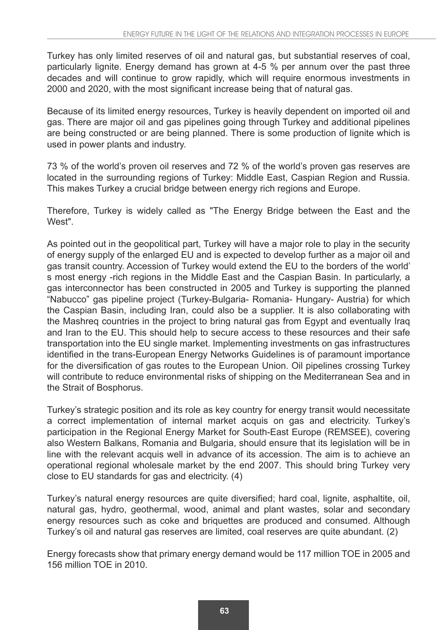Turkey has only limited reserves of oil and natural gas, but substantial reserves of coal, particularly lignite. Energy demand has grown at 4-5 % per annum over the past three decades and will continue to grow rapidly, which will require enormous investments in 2000 and 2020, with the most significant increase being that of natural gas.

Because of its limited energy resources, Turkey is heavily dependent on imported oil and gas. There are major oil and gas pipelines going through Turkey and additional pipelines are being constructed or are being planned. There is some production of lignite which is used in power plants and industry.

73 % of the world's proven oil reserves and 72 % of the world's proven gas reserves are located in the surrounding regions of Turkey: Middle East, Caspian Region and Russia. This makes Turkey a crucial bridge between energy rich regions and Europe.

Therefore, Turkey is widely called as "The Energy Bridge between the East and the West"

As pointed out in the geopolitical part, Turkey will have a major role to play in the security of energy supply of the enlarged EU and is expected to develop further as a major oil and gas transit country. Accession of Turkey would extend the EU to the borders of the world' s most energy -rich regions in the Middle East and the Caspian Basin. In particularly, a gas interconnector has been constructed in 2005 and Turkey is supporting the planned "Nabucco" gas pipeline project (Turkey-Bulgaria- Romania- Hungary- Austria) for which the Caspian Basin, including Iran, could also be a supplier. It is also collaborating with the Mashreq countries in the project to bring natural gas from Egypt and eventually Iraq and Iran to the EU. This should help to secure access to these resources and their safe transportation into the EU single market. Implementing investments on gas infrastructures identified in the trans-European Energy Networks Guidelines is of paramount importance for the diversification of gas routes to the European Union. Oil pipelines crossing Turkey will contribute to reduce environmental risks of shipping on the Mediterranean Sea and in the Strait of Bosphorus.

Turkey's strategic position and its role as key country for energy transit would necessitate a correct implementation of internal market acquis on gas and electricity. Turkey's participation in the Regional Energy Market for South-East Europe (REMSEE), covering also Western Balkans, Romania and Bulgaria, should ensure that its legislation will be in line with the relevant acquis well in advance of its accession. The aim is to achieve an operational regional wholesale market by the end 2007. This should bring Turkey very close to EU standards for gas and electricity. (4)

Turkey's natural energy resources are quite diversified; hard coal, lignite, asphaltite, oil, natural gas, hydro, geothermal, wood, animal and plant wastes, solar and secondary energy resources such as coke and briquettes are produced and consumed. Although Turkey's oil and natural gas reserves are limited, coal reserves are quite abundant. (2)

Energy forecasts show that primary energy demand would be 117 million TOE in 2005 and 156 million TOE in 2010.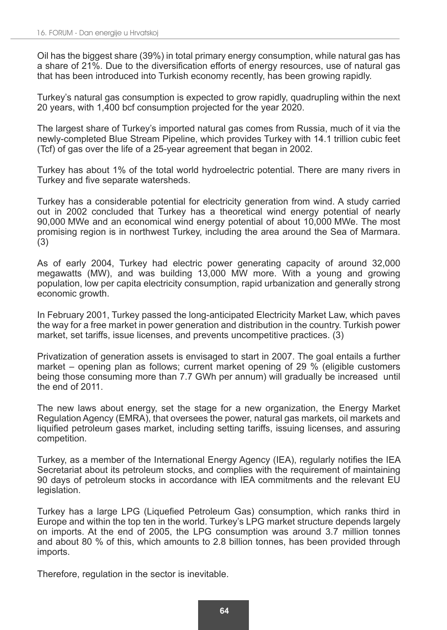Oil has the biggest share (39%) in total primary energy consumption, while natural gas has a share of 21%. Due to the diversification efforts of energy resources, use of natural gas that has been introduced into Turkish economy recently, has been growing rapidly.

Turkey's natural gas consumption is expected to grow rapidly, quadrupling within the next 20 years, with 1,400 bcf consumption projected for the year 2020.

The largest share of Turkey's imported natural gas comes from Russia, much of it via the newly-completed Blue Stream Pipeline, which provides Turkey with 14.1 trillion cubic feet (Tcf) of gas over the life of a 25-year agreement that began in 2002.

Turkey has about 1% of the total world hydroelectric potential. There are many rivers in Turkey and five separate watersheds.

Turkey has a considerable potential for electricity generation from wind. A study carried out in 2002 concluded that Turkey has a theoretical wind energy potential of nearly 90,000 MWe and an economical wind energy potential of about 10,000 MWe. The most promising region is in northwest Turkey, including the area around the Sea of Marmara. (3)

As of early 2004, Turkey had electric power generating capacity of around 32,000 megawatts (MW), and was building 13,000 MW more. With a young and growing population, low per capita electricity consumption, rapid urbanization and generally strong economic growth.

In February 2001, Turkey passed the long-anticipated Electricity Market Law, which paves the way for a free market in power generation and distribution in the country. Turkish power market, set tariffs, issue licenses, and prevents uncompetitive practices. (3)

Privatization of generation assets is envisaged to start in 2007. The goal entails a further market – opening plan as follows; current market opening of 29 % (eligible customers being those consuming more than 7.7 GWh per annum) will gradually be increased until the end of 2011.

The new laws about energy, set the stage for a new organization, the Energy Market Regulation Agency (EMRA), that oversees the power, natural gas markets, oil markets and liquified petroleum gases market, including setting tariffs, issuing licenses, and assuring competition.

Turkey, as a member of the International Energy Agency (IEA), regularly notifies the IEA Secretariat about its petroleum stocks, and complies with the requirement of maintaining 90 days of petroleum stocks in accordance with IEA commitments and the relevant EU legislation.

Turkey has a large LPG (Liquefied Petroleum Gas) consumption, which ranks third in Europe and within the top ten in the world. Turkey's LPG market structure depends largely on imports. At the end of 2005, the LPG consumption was around 3.7 million tonnes and about 80 % of this, which amounts to 2.8 billion tonnes, has been provided through imports.

Therefore, regulation in the sector is inevitable.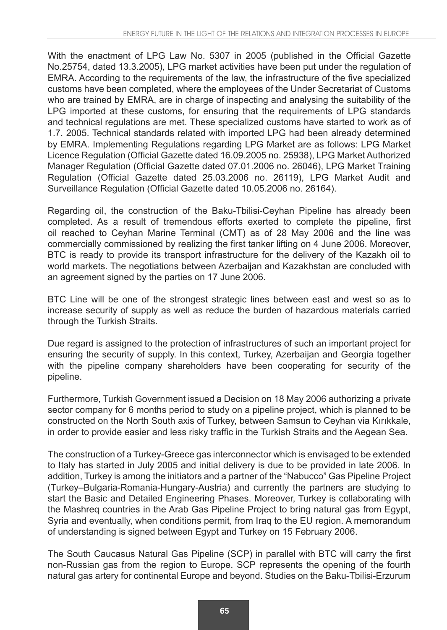With the enactment of LPG Law No. 5307 in 2005 (published in the Official Gazette No.25754, dated 13.3.2005), LPG market activities have been put under the regulation of EMRA. According to the requirements of the law, the infrastructure of the five specialized customs have been completed, where the employees of the Under Secretariat of Customs who are trained by EMRA, are in charge of inspecting and analysing the suitability of the LPG imported at these customs, for ensuring that the requirements of LPG standards and technical regulations are met. These specialized customs have started to work as of 1.7. 2005. Technical standards related with imported LPG had been already determined by EMRA. Implementing Regulations regarding LPG Market are as follows: LPG Market Licence Regulation (Official Gazette dated 16.09.2005 no. 25938), LPG Market Authorized Manager Regulation (Official Gazette dated 07.01.2006 no. 26046), LPG Market Training Regulation (Official Gazette dated 25.03.2006 no. 26119), LPG Market Audit and Surveillance Regulation (Official Gazette dated 10.05.2006 no. 26164).

Regarding oil, the construction of the Baku-Tbilisi-Ceyhan Pipeline has already been completed. As a result of tremendous efforts exerted to complete the pipeline, first oil reached to Ceyhan Marine Terminal (CMT) as of 28 May 2006 and the line was commercially commissioned by realizing the first tanker lifting on 4 June 2006. Moreover, BTC is ready to provide its transport infrastructure for the delivery of the Kazakh oil to world markets. The negotiations between Azerbaijan and Kazakhstan are concluded with an agreement signed by the parties on 17 June 2006.

BTC Line will be one of the strongest strategic lines between east and west so as to increase security of supply as well as reduce the burden of hazardous materials carried through the Turkish Straits.

Due regard is assigned to the protection of infrastructures of such an important project for ensuring the security of supply. In this context, Turkey, Azerbaijan and Georgia together with the pipeline company shareholders have been cooperating for security of the pipeline.

Furthermore, Turkish Government issued a Decision on 18 May 2006 authorizing a private sector company for 6 months period to study on a pipeline project, which is planned to be constructed on the North South axis of Turkey, between Samsun to Ceyhan via Kırıkkale, in order to provide easier and less risky traffic in the Turkish Straits and the Aegean Sea.

The construction of a Turkey-Greece gas interconnector which is envisaged to be extended to Italy has started in July 2005 and initial delivery is due to be provided in late 2006. In addition, Turkey is among the initiators and a partner of the "Nabucco" Gas Pipeline Project (Turkey–Bulgaria-Romania-Hungary-Austria) and currently the partners are studying to start the Basic and Detailed Engineering Phases. Moreover, Turkey is collaborating with the Mashreq countries in the Arab Gas Pipeline Project to bring natural gas from Egypt, Syria and eventually, when conditions permit, from Iraq to the EU region. A memorandum of understanding is signed between Egypt and Turkey on 15 February 2006.

The South Caucasus Natural Gas Pipeline (SCP) in parallel with BTC will carry the first non-Russian gas from the region to Europe. SCP represents the opening of the fourth natural gas artery for continental Europe and beyond. Studies on the Baku-Tbilisi-Erzurum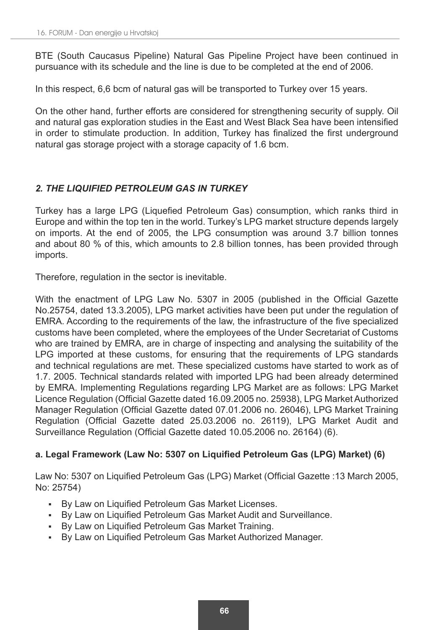BTE (South Caucasus Pipeline) Natural Gas Pipeline Project have been continued in pursuance with its schedule and the line is due to be completed at the end of 2006.

In this respect, 6,6 bcm of natural gas will be transported to Turkey over 15 years.

On the other hand, further efforts are considered for strengthening security of supply. Oil and natural gas exploration studies in the East and West Black Sea have been intensified in order to stimulate production. In addition, Turkey has finalized the first underground natural gas storage project with a storage capacity of 1.6 bcm.

## *2. THE LIQUIFIED PETROLEUM GAS IN TURKEY*

Turkey has a large LPG (Liquefied Petroleum Gas) consumption, which ranks third in Europe and within the top ten in the world. Turkey's LPG market structure depends largely on imports. At the end of 2005, the LPG consumption was around 3.7 billion tonnes and about 80 % of this, which amounts to 2.8 billion tonnes, has been provided through imports.

Therefore, regulation in the sector is inevitable.

With the enactment of LPG Law No. 5307 in 2005 (published in the Official Gazette No.25754, dated 13.3.2005), LPG market activities have been put under the regulation of EMRA. According to the requirements of the law, the infrastructure of the five specialized customs have been completed, where the employees of the Under Secretariat of Customs who are trained by EMRA, are in charge of inspecting and analysing the suitability of the LPG imported at these customs, for ensuring that the requirements of LPG standards and technical regulations are met. These specialized customs have started to work as of 1.7. 2005. Technical standards related with imported LPG had been already determined by EMRA. Implementing Regulations regarding LPG Market are as follows: LPG Market Licence Regulation (Official Gazette dated 16.09.2005 no. 25938), LPG Market Authorized Manager Regulation (Official Gazette dated 07.01.2006 no. 26046), LPG Market Training Regulation (Official Gazette dated 25.03.2006 no. 26119), LPG Market Audit and Surveillance Regulation (Official Gazette dated 10.05.2006 no. 26164) (6).

### a. Legal Framework (Law No: 5307 on Liquified Petroleum Gas (LPG) Market) (6)

Law No: 5307 on Liquified Petroleum Gas (LPG) Market (Official Gazette :13 March 2005, No: 25754)

- By Law on Liquified Petroleum Gas Market Licenses.
- By Law on Liquified Petroleum Gas Market Audit and Surveillance.
- By Law on Liquified Petroleum Gas Market Training.
- By Law on Liquified Petroleum Gas Market Authorized Manager.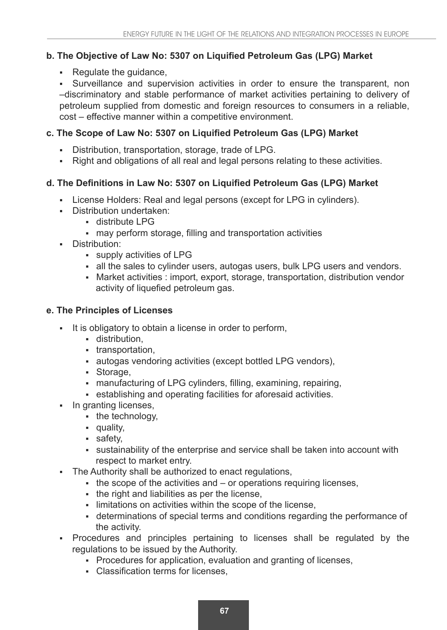## **b. The Objective of Law No: 5307 on Liquified Petroleum Gas (LPG) Market**

- Regulate the guidance,

 Surveillance and supervision activities in order to ensure the transparent, non –discriminatory and stable performance of market activities pertaining to delivery of petroleum supplied from domestic and foreign resources to consumers in a reliable, cost – effective manner within a competitive environment.

### c. The Scope of Law No: 5307 on Liquified Petroleum Gas (LPG) Market

- Distribution, transportation, storage, trade of LPG.
- Right and obligations of all real and legal persons relating to these activities.

## d. The Definitions in Law No: 5307 on Liquified Petroleum Gas (LPG) Market

- License Holders: Real and legal persons (except for LPG in cylinders).
- Distribution undertaken:
	- distribute LPG
	- may perform storage, filling and transportation activities
- **Distribution:** 
	- supply activities of LPG
	- all the sales to cylinder users, autogas users, bulk LPG users and vendors.
	- Market activities : import, export, storage, transportation, distribution vendor activity of liquefied petroleum gas.

### **e. The Principles of Licenses**

- It is obligatory to obtain a license in order to perform,
	- **distribution.**
	- transportation,
	- autogas vendoring activities (except bottled LPG vendors),
	- Storage,
	- manufacturing of LPG cylinders, filling, examining, repairing,
	- establishing and operating facilities for aforesaid activities.
- In granting licenses,
	- $\bullet$  the technology,
	- quality,
	- safety,
	- sustainability of the enterprise and service shall be taken into account with respect to market entry.
- The Authority shall be authorized to enact regulations,
	- $\bullet$  the scope of the activities and  $-$  or operations requiring licenses,
	- the right and liabilities as per the license,
	- limitations on activities within the scope of the license,
	- determinations of special terms and conditions regarding the performance of the activity.
- Procedures and principles pertaining to licenses shall be regulated by the regulations to be issued by the Authority.
	- Procedures for application, evaluation and granting of licenses,
	- Classification terms for licenses.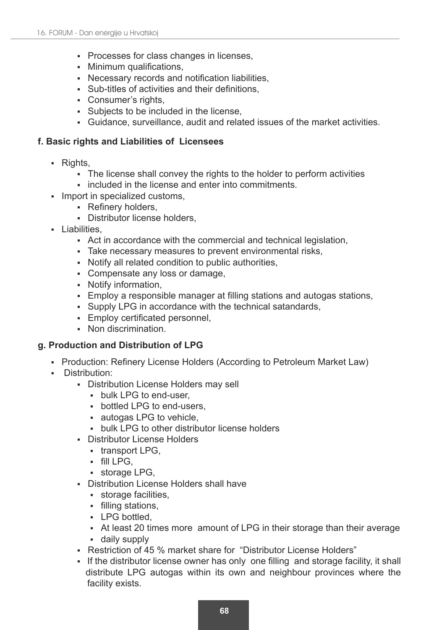- **Processes for class changes in licenses,**
- Minimum qualifications.
- Necessary records and notification liabilities.
- Sub-titles of activities and their definitions.
- Consumer's rights,
- Subjects to be included in the license,
- Guidance, surveillance, audit and related issues of the market activities.

### **f. Basic rights and Liabilities of Licensees**

- Rights,
	- The license shall convey the rights to the holder to perform activities
	- **included in the license and enter into commitments.**
- Import in specialized customs,
	- Refinery holders,
	- **Distributor license holders.**
- Liabilities
	- Act in accordance with the commercial and technical legislation,
	- Take necessary measures to prevent environmental risks,
	- Notify all related condition to public authorities,
	- Compensate any loss or damage,
	- Notify information,
	- Employ a responsible manager at filling stations and autogas stations,
	- Supply LPG in accordance with the technical satandards,
	- Employ certificated personnel,
	- Non discrimination.

### **g. Production and Distribution of LPG**

- Production: Refinery License Holders (According to Petroleum Market Law)
- **-** Distribution:
	- Distribution License Holders may sell
		- bulk LPG to end-user,
		- bottled LPG to end-users,
		- autogas LPG to vehicle,
		- bulk LPG to other distributor license holders
	- Distributor License Holders
		- transport LPG,
		- $\bullet$  fill LPG,
		- **storage LPG,**
	- Distribution License Holders shall have
		- **storage facilities,**
		- filling stations,
		- LPG bottled.
		- At least 20 times more amount of LPG in their storage than their average daily supply
	- Restriction of 45 % market share for "Distributor License Holders"
	- If the distributor license owner has only one filling and storage facility, it shall distribute LPG autogas within its own and neighbour provinces where the facility exists.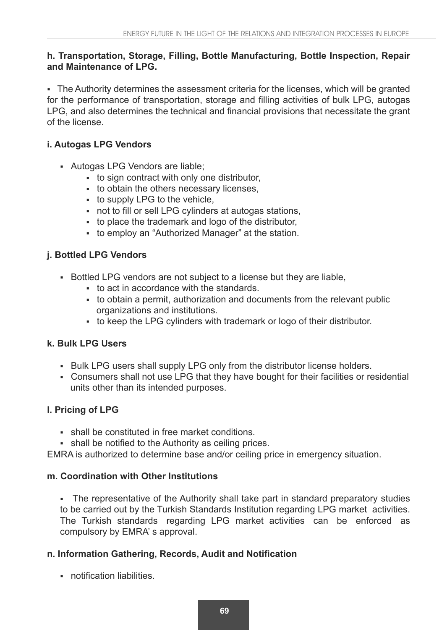### **h. Transportation, Storage, Filling, Bottle Manufacturing, Bottle Inspection, Repair and Maintenance of LPG.**

 The Authority determines the assessment criteria for the licenses, which will be granted for the performance of transportation, storage and filling activities of bulk LPG, autogas LPG, and also determines the technical and financial provisions that necessitate the grant of the license.

## **i. Autogas LPG Vendors**

- Autogas LPG Vendors are liable;
	- to sign contract with only one distributor,
	- to obtain the others necessary licenses.
	- to supply LPG to the vehicle,
	- not to fill or sell LPG cylinders at autogas stations,
	- to place the trademark and logo of the distributor,
	- to employ an "Authorized Manager" at the station.

## **j. Bottled LPG Vendors**

- Bottled LPG vendors are not subject to a license but they are liable,
	- to act in accordance with the standards.
	- to obtain a permit, authorization and documents from the relevant public organizations and institutions.
	- to keep the LPG cylinders with trademark or logo of their distributor.

## **k. Bulk LPG Users**

- Bulk LPG users shall supply LPG only from the distributor license holders.
- Consumers shall not use LPG that they have bought for their facilities or residential units other than its intended purposes.

## **l. Pricing of LPG**

- shall be constituted in free market conditions.
- . shall be notified to the Authority as ceiling prices.

EMRA is authorized to determine base and/or ceiling price in emergency situation.

## **m. Coordination with Other Institutions**

 The representative of the Authority shall take part in standard preparatory studies to be carried out by the Turkish Standards Institution regarding LPG market activities. The Turkish standards regarding LPG market activities can be enforced as compulsory by EMRA' s approval.

## **n. Information Gathering, Records, Audit and Notification**

notification liabilities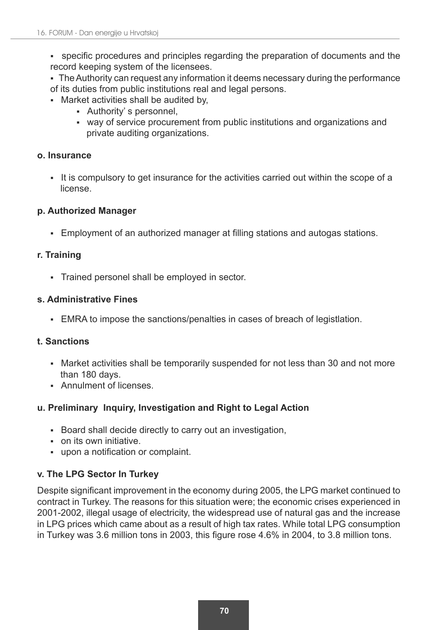- specific procedures and principles regarding the preparation of documents and the record keeping system of the licensees.
- The Authority can request any information it deems necessary during the performance of its duties from public institutions real and legal persons.
- Market activities shall be audited by,
	- Authority' s personnel,
	- way of service procurement from public institutions and organizations and private auditing organizations.

#### **o. Insurance**

It is compulsory to get insurance for the activities carried out within the scope of a license.

### **p. Authorized Manager**

- Employment of an authorized manager at filling stations and autogas stations.

### **r. Training**

Trained personel shall be employed in sector.

### **s. Administrative Fines**

EMRA to impose the sanctions/penalties in cases of breach of legistlation.

## **t. Sanctions**

- Market activities shall be temporarily suspended for not less than 30 and not more than 180 days.
- **Annulment of licenses.**

## **u. Preliminary Inquiry, Investigation and Right to Legal Action**

- Board shall decide directly to carry out an investigation,
- on its own initiative.
- upon a notification or complaint.

## **v. The LPG Sector In Turkey**

Despite significant improvement in the economy during 2005, the LPG market continued to contract in Turkey. The reasons for this situation were; the economic crises experienced in 2001-2002, illegal usage of electricity, the widespread use of natural gas and the increase in LPG prices which came about as a result of high tax rates. While total LPG consumption in Turkey was  $3.6$  million tons in 2003, this figure rose  $4.6\%$  in 2004, to  $3.8$  million tons.